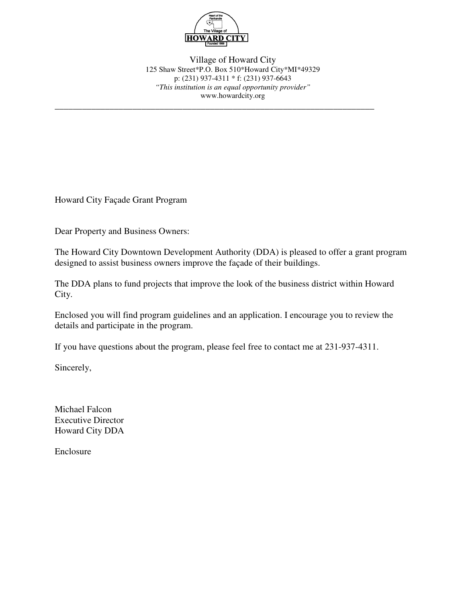

**\_\_\_\_\_\_\_\_\_\_\_\_\_\_\_\_\_\_\_\_\_\_\_\_\_\_\_\_\_\_\_\_\_\_\_\_\_\_\_\_\_\_\_\_\_\_\_\_\_\_\_\_\_\_\_\_\_\_\_\_\_\_\_\_\_\_\_\_\_\_**

Village of Howard City 125 Shaw Street\*P.O. Box 510\*Howard City\*MI\*49329 p: (231) 937-4311 \* f: (231) 937-6643 *"This institution is an equal opportunity provider"* www.howardcity.org

Howard City Façade Grant Program

Dear Property and Business Owners:

The Howard City Downtown Development Authority (DDA) is pleased to offer a grant program designed to assist business owners improve the façade of their buildings.

The DDA plans to fund projects that improve the look of the business district within Howard City.

Enclosed you will find program guidelines and an application. I encourage you to review the details and participate in the program.

If you have questions about the program, please feel free to contact me at 231-937-4311.

Sincerely,

Michael Falcon Executive Director Howard City DDA

Enclosure